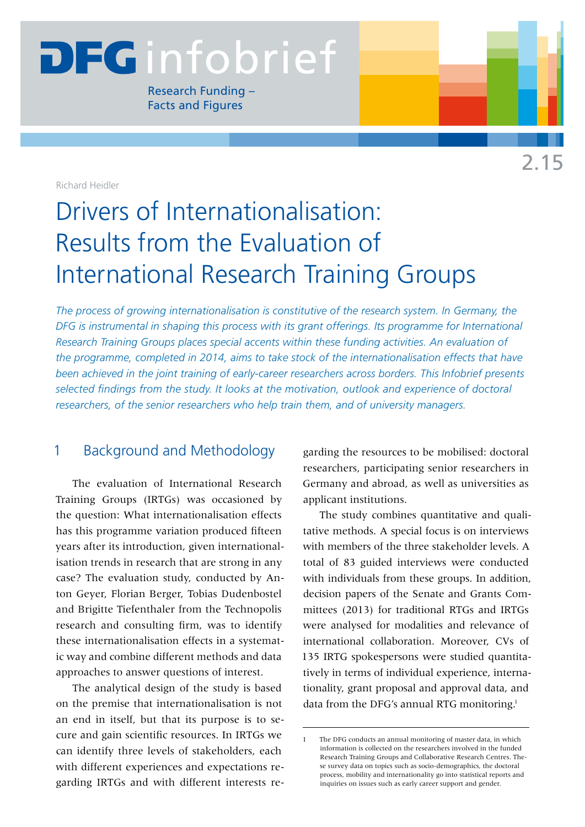# **DEGinfobrief**

Research Funding – Facts and Figures

Richard Heidler

# Drivers of Internationalisation: Results from the Evaluation of International Research Training Groups

*The process of growing internationalisation is constitutive of the research system. In Germany, the DFG is instrumental in shaping this process with its grant offerings. Its programme for International Research Training Groups places special accents within these funding activities. An evaluation of the programme, completed in 2014, aims to take stock of the internationalisation effects that have been achieved in the joint training of early-career researchers across borders. This Infobrief presents selected findings from the study. It looks at the motivation, outlook and experience of doctoral researchers, of the senior researchers who help train them, and of university managers.*

# 1 Background and Methodology

The evaluation of International Research Training Groups (IRTGs) was occasioned by the question: What internationalisation effects has this programme variation produced fifteen years after its introduction, given internationalisation trends in research that are strong in any case? The evaluation study, conducted by Anton Geyer, Florian Berger, Tobias Dudenbostel and Brigitte Tiefenthaler from the Technopolis research and consulting firm, was to identify these internationalisation effects in a systematic way and combine different methods and data approaches to answer questions of interest.

The analytical design of the study is based on the premise that internationalisation is not an end in itself, but that its purpose is to secure and gain scientific resources. In IRTGs we can identify three levels of stakeholders, each with different experiences and expectations regarding IRTGs and with different interests regarding the resources to be mobilised: doctoral researchers, participating senior researchers in Germany and abroad, as well as universities as applicant institutions.

The study combines quantitative and qualitative methods. A special focus is on interviews with members of the three stakeholder levels. A total of 83 guided interviews were conducted with individuals from these groups. In addition, decision papers of the Senate and Grants Committees (2013) for traditional RTGs and IRTGs were analysed for modalities and relevance of international collaboration. Moreover, CVs of 135 IRTG spokespersons were studied quantitatively in terms of individual experience, internationality, grant proposal and approval data, and data from the DFG's annual RTG monitoring.<sup>1</sup>

The DFG conducts an annual monitoring of master data, in which information is collected on the researchers involved in the funded Research Training Groups and Collaborative Research Centres. These survey data on topics such as socio-demographics, the doctoral process, mobility and internationality go into statistical reports and inquiries on issues such as early career support and gender.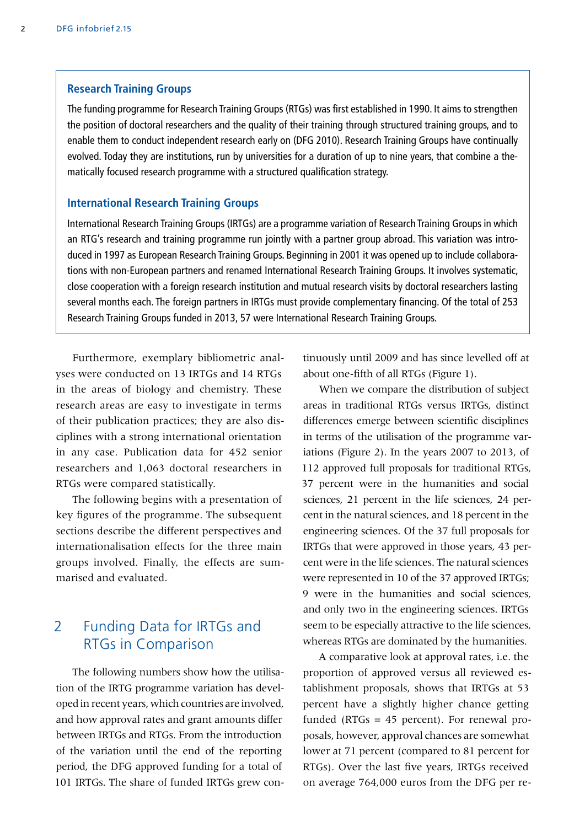#### **Research Training Groups**

The funding programme for Research Training Groups (RTGs) was first established in 1990. It aims to strengthen the position of doctoral researchers and the quality of their training through structured training groups, and to enable them to conduct independent research early on (DFG 2010). Research Training Groups have continually evolved. Today they are institutions, run by universities for a duration of up to nine years, that combine a thematically focused research programme with a structured qualification strategy.

#### **International Research Training Groups**

International Research Training Groups (IRTGs) are a programme variation of Research Training Groups in which an RTG's research and training programme run jointly with a partner group abroad. This variation was introduced in 1997 as European Research Training Groups. Beginning in 2001 it was opened up to include collaborations with non-European partners and renamed International Research Training Groups. It involves systematic, close cooperation with a foreign research institution and mutual research visits by doctoral researchers lasting several months each. The foreign partners in IRTGs must provide complementary financing. Of the total of 253 Research Training Groups funded in 2013, 57 were International Research Training Groups.

Furthermore, exemplary bibliometric analyses were conducted on 13 IRTGs and 14 RTGs in the areas of biology and chemistry. These research areas are easy to investigate in terms of their publication practices; they are also disciplines with a strong international orientation in any case. Publication data for 452 senior researchers and 1,063 doctoral researchers in RTGs were compared statistically.

The following begins with a presentation of key figures of the programme. The subsequent sections describe the different perspectives and internationalisation effects for the three main groups involved. Finally, the effects are summarised and evaluated.

# 2 Funding Data for IRTGs and RTGs in Comparison

The following numbers show how the utilisation of the IRTG programme variation has developed in recent years, which countries are involved, and how approval rates and grant amounts differ between IRTGs and RTGs. From the introduction of the variation until the end of the reporting period, the DFG approved funding for a total of 101 IRTGs. The share of funded IRTGs grew continuously until 2009 and has since levelled off at about one-fifth of all RTGs (Figure 1).

When we compare the distribution of subject areas in traditional RTGs versus IRTGs, distinct differences emerge between scientific disciplines in terms of the utilisation of the programme variations (Figure 2). In the years 2007 to 2013, of 112 approved full proposals for traditional RTGs, 37 percent were in the humanities and social sciences, 21 percent in the life sciences, 24 percent in the natural sciences, and 18 percent in the engineering sciences. Of the 37 full proposals for IRTGs that were approved in those years, 43 percent were in the life sciences. The natural sciences were represented in 10 of the 37 approved IRTGs; 9 were in the humanities and social sciences, and only two in the engineering sciences. IRTGs seem to be especially attractive to the life sciences, whereas RTGs are dominated by the humanities.

A comparative look at approval rates, i.e. the proportion of approved versus all reviewed establishment proposals, shows that IRTGs at 53 percent have a slightly higher chance getting funded ( $RTGs = 45$  percent). For renewal proposals, however, approval chances are somewhat lower at 71 percent (compared to 81 percent for RTGs). Over the last five years, IRTGs received on average 764,000 euros from the DFG per re-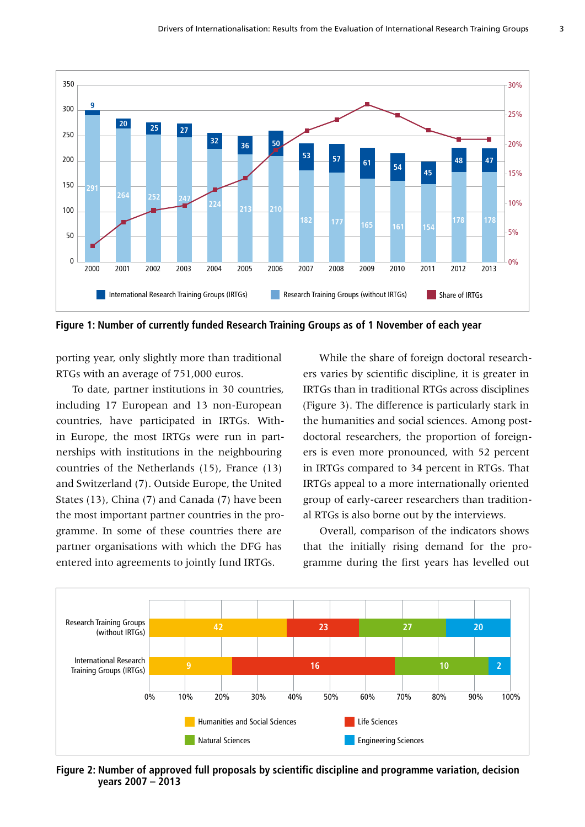

**Figure 1: Number of currently funded Research Training Groups as of 1 November of each year**

porting year, only slightly more than traditional RTGs with an average of 751,000 euros.

To date, partner institutions in 30 countries, including 17 European and 13 non-European countries, have participated in IRTGs. Within Europe, the most IRTGs were run in partnerships with institutions in the neighbouring countries of the Netherlands (15), France (13) and Switzerland (7). Outside Europe, the United States (13), China (7) and Canada (7) have been the most important partner countries in the programme. In some of these countries there are partner organisations with which the DFG has entered into agreements to jointly fund IRTGs.

While the share of foreign doctoral researchers varies by scientific discipline, it is greater in IRTGs than in traditional RTGs across disciplines (Figure 3). The difference is particularly stark in the humanities and social sciences. Among postdoctoral researchers, the proportion of foreigners is even more pronounced, with 52 percent in IRTGs compared to 34 percent in RTGs. That IRTGs appeal to a more internationally oriented group of early-career researchers than traditional RTGs is also borne out by the interviews.

Overall, comparison of the indicators shows that the initially rising demand for the programme during the first years has levelled out



**Figure 2: Number of approved full proposals by scientific discipline and programme variation, decision years 2007 – 2013**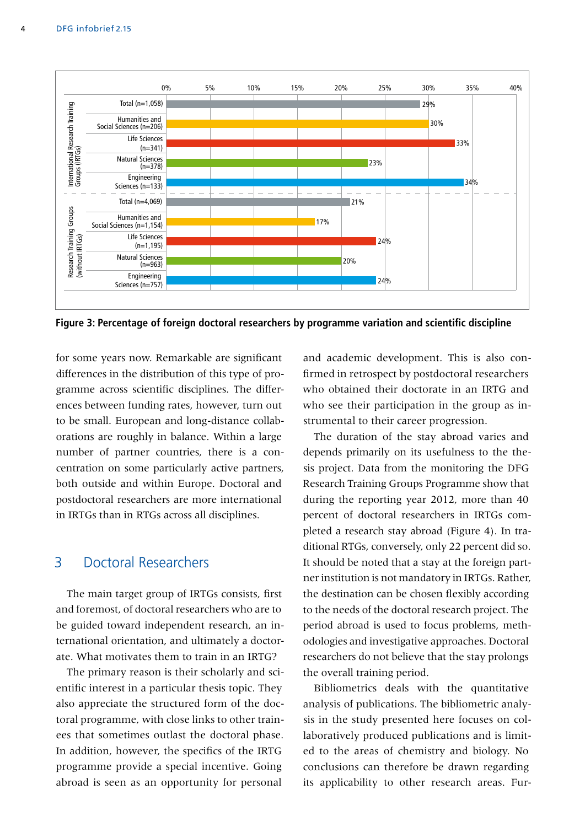

**Figure 3: Percentage of foreign doctoral researchers by programme variation and scientific discipline**

for some years now. Remarkable are significant differences in the distribution of this type of programme across scientific disciplines. The differences between funding rates, however, turn out to be small. European and long-distance collaborations are roughly in balance. Within a large number of partner countries, there is a concentration on some particularly active partners, both outside and within Europe. Doctoral and postdoctoral researchers are more international in IRTGs than in RTGs across all disciplines.

## 3 Doctoral Researchers

The main target group of IRTGs consists, first and foremost, of doctoral researchers who are to be guided toward independent research, an international orientation, and ultimately a doctorate. What motivates them to train in an IRTG?

The primary reason is their scholarly and scientific interest in a particular thesis topic. They also appreciate the structured form of the doctoral programme, with close links to other trainees that sometimes outlast the doctoral phase. In addition, however, the specifics of the IRTG programme provide a special incentive. Going abroad is seen as an opportunity for personal

and academic development. This is also confirmed in retrospect by postdoctoral researchers who obtained their doctorate in an IRTG and who see their participation in the group as instrumental to their career progression.

The duration of the stay abroad varies and depends primarily on its usefulness to the thesis project. Data from the monitoring the DFG Research Training Groups Programme show that during the reporting year 2012, more than 40 percent of doctoral researchers in IRTGs completed a research stay abroad (Figure 4). In traditional RTGs, conversely, only 22 percent did so. It should be noted that a stay at the foreign partner institution is not mandatory in IRTGs. Rather, the destination can be chosen flexibly according to the needs of the doctoral research project. The period abroad is used to focus problems, methodologies and investigative approaches. Doctoral researchers do not believe that the stay prolongs the overall training period.

Bibliometrics deals with the quantitative analysis of publications. The bibliometric analysis in the study presented here focuses on collaboratively produced publications and is limited to the areas of chemistry and biology. No conclusions can therefore be drawn regarding its applicability to other research areas. Fur-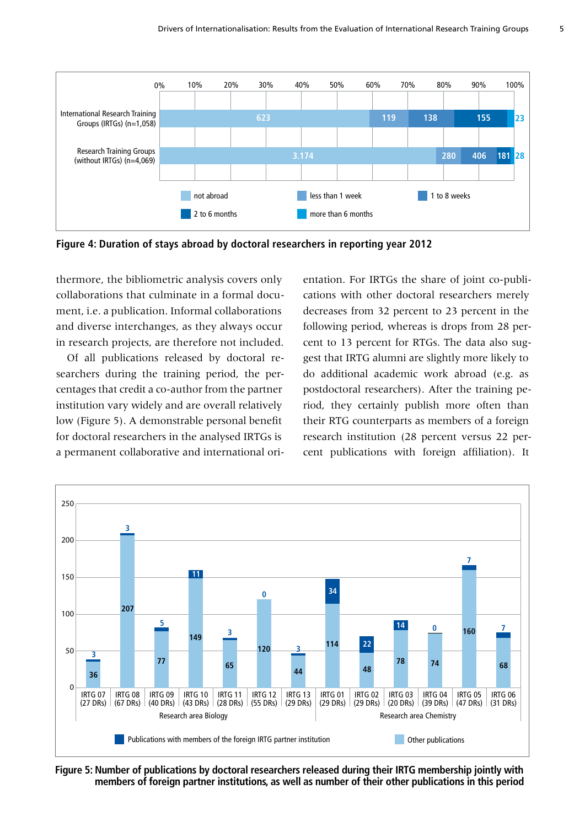

**Figure 4: Duration of stays abroad by doctoral researchers in reporting year 2012** 

thermore, the bibliometric analysis covers only collaborations that culminate in a formal document, i.e. a publication. Informal collaborations and diverse interchanges, as they always occur in research projects, are therefore not included.

Of all publications released by doctoral researchers during the training period, the percentages that credit a co-author from the partner institution vary widely and are overall relatively low (Figure 5). A demonstrable personal benefit for doctoral researchers in the analysed IRTGs is a permanent collaborative and international orientation. For IRTGs the share of joint co-publications with other doctoral researchers merely decreases from 32 percent to 23 percent in the following period, whereas is drops from 28 percent to 13 percent for RTGs. The data also suggest that IRTG alumni are slightly more likely to do additional academic work abroad (e.g. as postdoctoral researchers). After the training period, they certainly publish more often than their RTG counterparts as members of a foreign research institution (28 percent versus 22 percent publications with foreign affiliation). It



**Figure 5: Number of publications by doctoral researchers released during their IRTG membership jointly with members of foreign partner institutions, as well as number of their other publications in this period**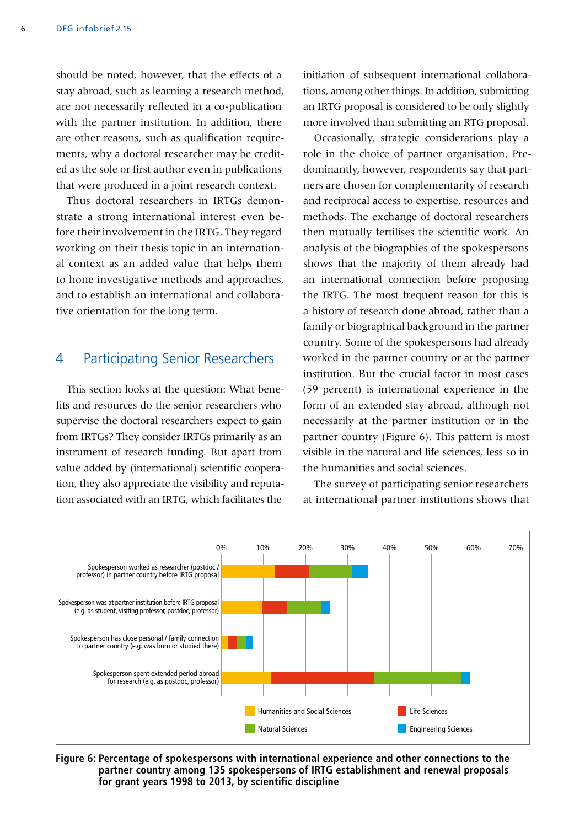should be noted, however, that the effects of a stay abroad, such as learning a research method, are not necessarily reflected in a co-publication with the partner institution. In addition, there are other reasons, such as qualification requirements, why a doctoral researcher may be credited as the sole or first author even in publications that were produced in a joint research context.

Thus doctoral researchers in IRTGs demonstrate a strong international interest even before their involvement in the IRTG. They regard working on their thesis topic in an international context as an added value that helps them to hone investigative methods and approaches, and to establish an international and collaborative orientation for the long term.

#### 4 Participating Senior Researchers

This section looks at the question: What benefits and resources do the senior researchers who supervise the doctoral researchers expect to gain from IRTGs? They consider IRTGs primarily as an instrument of research funding. But apart from value added by (international) scientific cooperation, they also appreciate the visibility and reputation associated with an IRTG, which facilitates the

initiation of subsequent international collaborations, among other things. In addition, submitting an IRTG proposal is considered to be only slightly more involved than submitting an RTG proposal.

Occasionally, strategic considerations play a role in the choice of partner organisation. Predominantly, however, respondents say that partners are chosen for complementarity of research and reciprocal access to expertise, resources and methods. The exchange of doctoral researchers then mutually fertilises the scientific work. An analysis of the biographies of the spokespersons shows that the majority of them already had an international connection before proposing the IRTG. The most frequent reason for this is a history of research done abroad, rather than a family or biographical background in the partner country. Some of the spokespersons had already worked in the partner country or at the partner institution. But the crucial factor in most cases (59 percent) is international experience in the form of an extended stay abroad, although not necessarily at the partner institution or in the partner country (Figure 6). This pattern is most visible in the natural and life sciences, less so in the humanities and social sciences.

The survey of participating senior researchers at international partner institutions shows that



**Figure 6: Percentage of spokespersons with international experience and other connections to the partner country among 135 spokespersons of IRTG establishment and renewal proposals for grant years 1998 to 2013, by scientific discipline**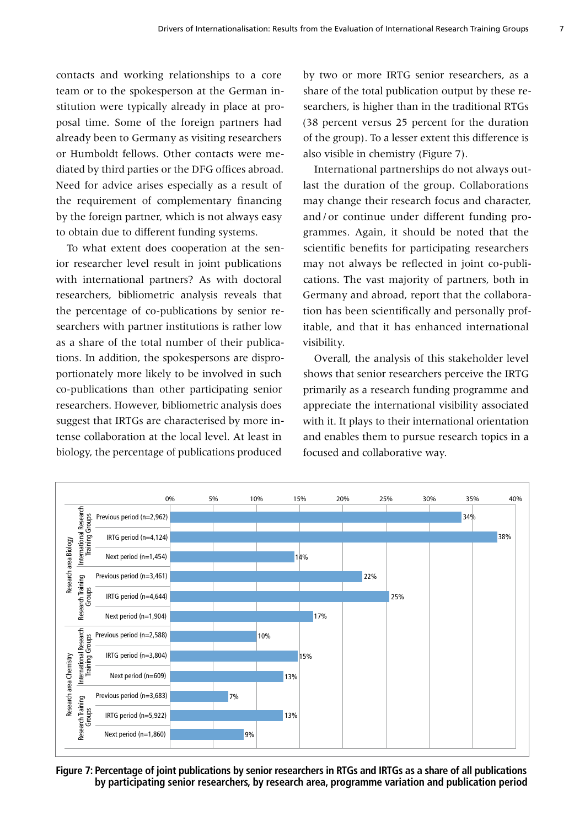contacts and working relationships to a core team or to the spokesperson at the German institution were typically already in place at proposal time. Some of the foreign partners had already been to Germany as visiting researchers or Humboldt fellows. Other contacts were mediated by third parties or the DFG offices abroad. Need for advice arises especially as a result of the requirement of complementary financing by the foreign partner, which is not always easy to obtain due to different funding systems.

To what extent does cooperation at the senior researcher level result in joint publications with international partners? As with doctoral researchers, bibliometric analysis reveals that the percentage of co-publications by senior researchers with partner institutions is rather low as a share of the total number of their publications. In addition, the spokespersons are disproportionately more likely to be involved in such co-publications than other participating senior researchers. However, bibliometric analysis does suggest that IRTGs are characterised by more intense collaboration at the local level. At least in biology, the percentage of publications produced

by two or more IRTG senior researchers, as a share of the total publication output by these researchers, is higher than in the traditional RTGs (38 percent versus 25 percent for the duration of the group). To a lesser extent this difference is also visible in chemistry (Figure 7).

International partnerships do not always outlast the duration of the group. Collaborations may change their research focus and character, and/or continue under different funding programmes. Again, it should be noted that the scientific benefits for participating researchers may not always be reflected in joint co-publications. The vast majority of partners, both in Germany and abroad, report that the collaboration has been scientifically and personally profitable, and that it has enhanced international visibility.

Overall, the analysis of this stakeholder level shows that senior researchers perceive the IRTG primarily as a research funding programme and appreciate the international visibility associated with it. It plays to their international orientation and enables them to pursue research topics in a focused and collaborative way.



**Figure 7: Percentage of joint publications by senior researchers in RTGs and IRTGs as a share of all publications by participating senior researchers, by research area, programme variation and publication period**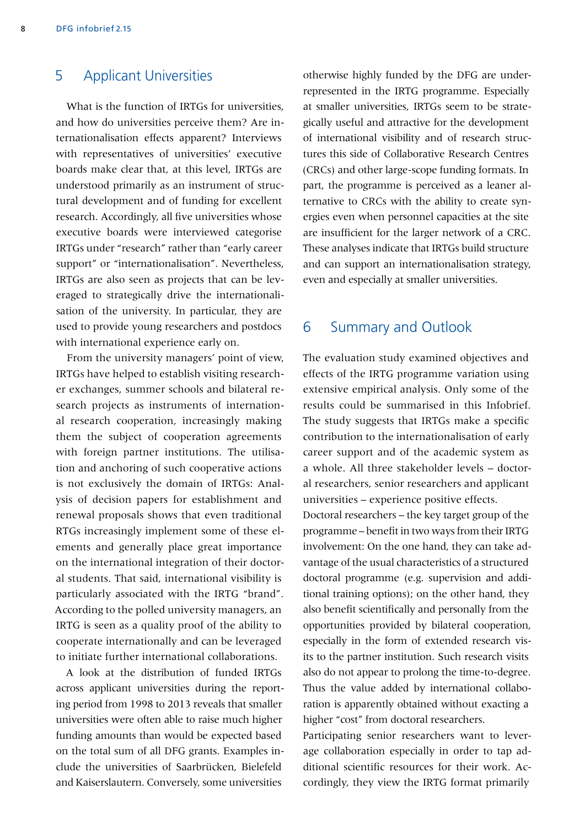# 5 Applicant Universities

What is the function of IRTGs for universities, and how do universities perceive them? Are internationalisation effects apparent? Interviews with representatives of universities' executive boards make clear that, at this level, IRTGs are understood primarily as an instrument of structural development and of funding for excellent research. Accordingly, all five universities whose executive boards were interviewed categorise IRTGs under "research" rather than "early career support" or "internationalisation". Nevertheless, IRTGs are also seen as projects that can be leveraged to strategically drive the internationalisation of the university. In particular, they are used to provide young researchers and postdocs with international experience early on.

From the university managers' point of view, IRTGs have helped to establish visiting researcher exchanges, summer schools and bilateral research projects as instruments of international research cooperation, increasingly making them the subject of cooperation agreements with foreign partner institutions. The utilisation and anchoring of such cooperative actions is not exclusively the domain of IRTGs: Analysis of decision papers for establishment and renewal proposals shows that even traditional RTGs increasingly implement some of these elements and generally place great importance on the international integration of their doctoral students. That said, international visibility is particularly associated with the IRTG "brand". According to the polled university managers, an IRTG is seen as a quality proof of the ability to cooperate internationally and can be leveraged to initiate further international collaborations.

A look at the distribution of funded IRTGs across applicant universities during the reporting period from 1998 to 2013 reveals that smaller universities were often able to raise much higher funding amounts than would be expected based on the total sum of all DFG grants. Examples include the universities of Saarbrücken, Bielefeld and Kaiserslautern. Conversely, some universities

otherwise highly funded by the DFG are underrepresented in the IRTG programme. Especially at smaller universities, IRTGs seem to be strategically useful and attractive for the development of international visibility and of research structures this side of Collaborative Research Centres (CRCs) and other large-scope funding formats. In part, the programme is perceived as a leaner alternative to CRCs with the ability to create synergies even when personnel capacities at the site are insufficient for the larger network of a CRC. These analyses indicate that IRTGs build structure and can support an internationalisation strategy, even and especially at smaller universities.

### 6 Summary and Outlook

The evaluation study examined objectives and effects of the IRTG programme variation using extensive empirical analysis. Only some of the results could be summarised in this Infobrief. The study suggests that IRTGs make a specific contribution to the internationalisation of early career support and of the academic system as a whole. All three stakeholder levels – doctoral researchers, senior researchers and applicant universities – experience positive effects. Doctoral researchers – the key target group of the

programme – benefit in two ways from their IRTG involvement: On the one hand, they can take advantage of the usual characteristics of a structured doctoral programme (e.g. supervision and additional training options); on the other hand, they also benefit scientifically and personally from the opportunities provided by bilateral cooperation, especially in the form of extended research visits to the partner institution. Such research visits also do not appear to prolong the time-to-degree. Thus the value added by international collaboration is apparently obtained without exacting a higher "cost" from doctoral researchers.

Participating senior researchers want to leverage collaboration especially in order to tap additional scientific resources for their work. Accordingly, they view the IRTG format primarily